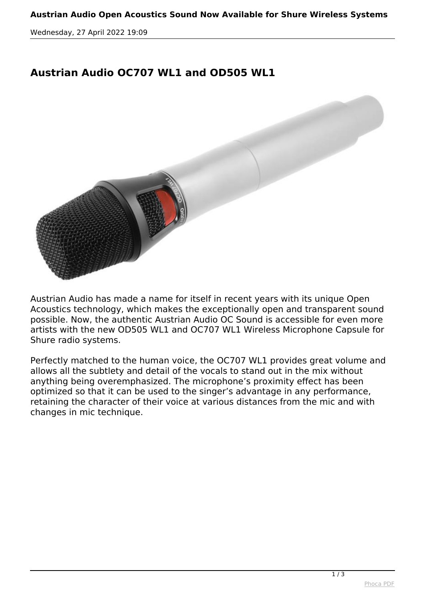*Wednesday, 27 April 2022 19:09*

## **Austrian Audio OC707 WL1 and OD505 WL1**



*Austrian Audio has made a name for itself in recent years with its unique Open Acoustics technology, which makes the exceptionally open and transparent sound possible. Now, the authentic Austrian Audio OC Sound is accessible for even more artists with the new OD505 WL1 and OC707 WL1 Wireless Microphone Capsule for Shure radio systems.*

*Perfectly matched to the human voice, the OC707 WL1 provides great volume and allows all the subtlety and detail of the vocals to stand out in the mix without anything being overemphasized. The microphone's proximity effect has been optimized so that it can be used to the singer's advantage in any performance, retaining the character of their voice at various distances from the mic and with changes in mic technique.*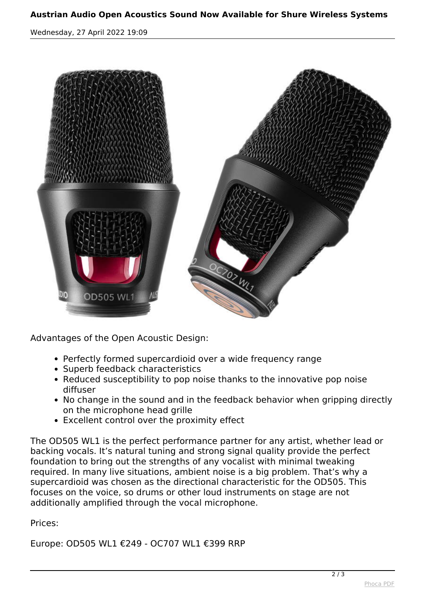## **Austrian Audio Open Acoustics Sound Now Available for Shure Wireless Systems**

*Wednesday, 27 April 2022 19:09*



*Advantages of the Open Acoustic Design:*

- *Perfectly formed supercardioid over a wide frequency range*
- *Superb feedback characteristics*
- *Reduced susceptibility to pop noise thanks to the innovative pop noise diffuser*
- *No change in the sound and in the feedback behavior when gripping directly on the microphone head grille*
- *Excellent control over the proximity effect*

*The OD505 WL1 is the perfect performance partner for any artist, whether lead or backing vocals. It's natural tuning and strong signal quality provide the perfect foundation to bring out the strengths of any vocalist with minimal tweaking required. In many live situations, ambient noise is a big problem. That's why a supercardioid was chosen as the directional characteristic for the OD505. This focuses on the voice, so drums or other loud instruments on stage are not additionally amplified through the vocal microphone.*

## *Prices:*

*Europe: OD505 WL1 €249 - OC707 WL1 €399 RRP*